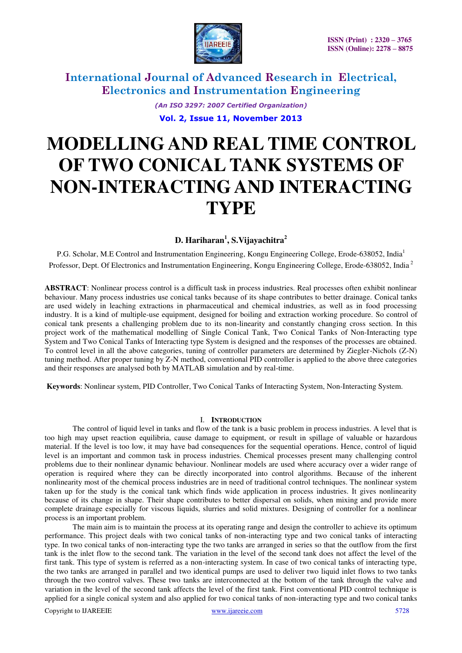

> *(An ISO 3297: 2007 Certified Organization)*  **Vol. 2, Issue 11, November 2013**

# **MODELLING AND REAL TIME CONTROL OF TWO CONICAL TANK SYSTEMS OF NON-INTERACTING AND INTERACTING TYPE**

### **D. Hariharan<sup>1</sup> , S.Vijayachitra<sup>2</sup>**

P.G. Scholar, M.E Control and Instrumentation Engineering, Kongu Engineering College, Erode-638052, India<sup>1</sup> Professor, Dept. Of Electronics and Instrumentation Engineering, Kongu Engineering College, Erode-638052, India<sup>2</sup>

**ABSTRACT**: Nonlinear process control is a difficult task in process industries. Real processes often exhibit nonlinear behaviour. Many process industries use conical tanks because of its shape contributes to better drainage. Conical tanks are used widely in leaching extractions in pharmaceutical and chemical industries, as well as in food processing industry. It is a kind of multiple-use equipment, designed for boiling and extraction working procedure. So control of conical tank presents a challenging problem due to its non-linearity and constantly changing cross section. In this project work of the mathematical modelling of Single Conical Tank, Two Conical Tanks of Non-Interacting type System and Two Conical Tanks of Interacting type System is designed and the responses of the processes are obtained. To control level in all the above categories, tuning of controller parameters are determined by Ziegler-Nichols (Z-N) tuning method. After proper tuning by Z-N method, conventional PID controller is applied to the above three categories and their responses are analysed both by MATLAB simulation and by real-time.

 **Keywords**: Nonlinear system, PID Controller, Two Conical Tanks of Interacting System, Non-Interacting System.

#### I. **INTRODUCTION**

The control of liquid level in tanks and flow of the tank is a basic problem in process industries. A level that is too high may upset reaction equilibria, cause damage to equipment, or result in spillage of valuable or hazardous material. If the level is too low, it may have bad consequences for the sequential operations. Hence, control of liquid level is an important and common task in process industries. Chemical processes present many challenging control problems due to their nonlinear dynamic behaviour. Nonlinear models are used where accuracy over a wider range of operation is required where they can be directly incorporated into control algorithms. Because of the inherent nonlinearity most of the chemical process industries are in need of traditional control techniques. The nonlinear system taken up for the study is the conical tank which finds wide application in process industries. It gives nonlinearity because of its change in shape. Their shape contributes to better dispersal on solids, when mixing and provide more complete drainage especially for viscous liquids, slurries and solid mixtures. Designing of controller for a nonlinear process is an important problem.

The main aim is to maintain the process at its operating range and design the controller to achieve its optimum performance. This project deals with two conical tanks of non-interacting type and two conical tanks of interacting type. In two conical tanks of non-interacting type the two tanks are arranged in series so that the outflow from the first tank is the inlet flow to the second tank. The variation in the level of the second tank does not affect the level of the first tank. This type of system is referred as a non-interacting system. In case of two conical tanks of interacting type, the two tanks are arranged in parallel and two identical pumps are used to deliver two liquid inlet flows to two tanks through the two control valves. These two tanks are interconnected at the bottom of the tank through the valve and variation in the level of the second tank affects the level of the first tank. First conventional PID control technique is applied for a single conical system and also applied for two conical tanks of non-interacting type and two conical tanks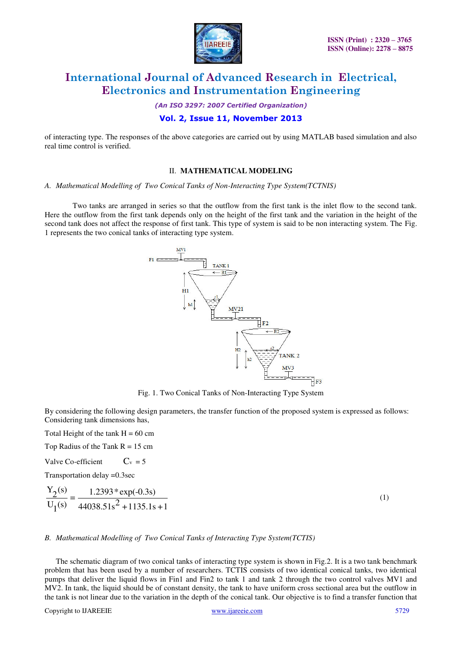

*(An ISO 3297: 2007 Certified Organization)* 

#### **Vol. 2, Issue 11, November 2013**

of interacting type. The responses of the above categories are carried out by using MATLAB based simulation and also real time control is verified.

#### II. **MATHEMATICAL MODELING**

#### *A. Mathematical Modelling of Two Conical Tanks of Non-Interacting Type System(TCTNIS)*

Two tanks are arranged in series so that the outflow from the first tank is the inlet flow to the second tank. Here the outflow from the first tank depends only on the height of the first tank and the variation in the height of the second tank does not affect the response of first tank. This type of system is said to be non interacting system. The Fig. 1 represents the two conical tanks of interacting type system.



Fig. 1. Two Conical Tanks of Non-Interacting Type System

By considering the following design parameters, the transfer function of the proposed system is expressed as follows: Considering tank dimensions has,

Total Height of the tank  $H = 60$  cm

Top Radius of the Tank  $R = 15$  cm

Valve Co-efficient  $C_v = 5$ 

Transportation delay =0.3sec

$$
\frac{Y_2(s)}{U_1(s)} = \frac{1.2393 \cdot \exp(-0.3s)}{44038.51s^2 + 1135.1s + 1}
$$
\n(1)

#### *B. Mathematical Modelling of Two Conical Tanks of Interacting Type System(TCTIS)*

The schematic diagram of two conical tanks of interacting type system is shown in Fig.2. It is a two tank benchmark problem that has been used by a number of researchers. TCTIS consists of two identical conical tanks, two identical pumps that deliver the liquid flows in Fin1 and Fin2 to tank 1 and tank 2 through the two control valves MV1 and MV2. In tank, the liquid should be of constant density, the tank to have uniform cross sectional area but the outflow in the tank is not linear due to the variation in the depth of the conical tank. Our objective is to find a transfer function that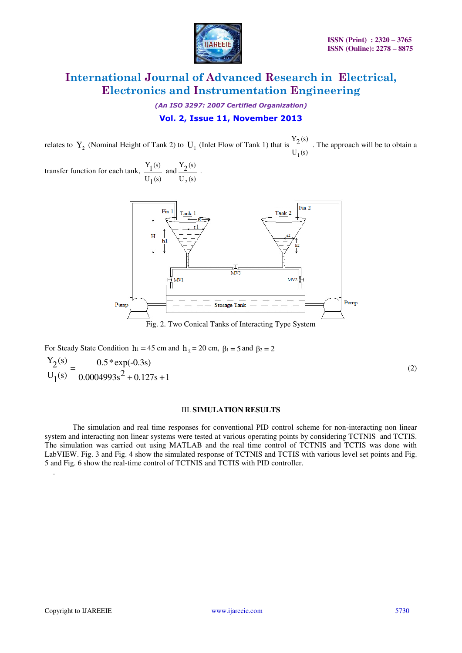

*(An ISO 3297: 2007 Certified Organization)* 

### **Vol. 2, Issue 11, November 2013**

relates to  $Y_2$  (Nominal Height of Tank 2) to  $U_1$  (Inlet Flow of Tank 1) that is  $U_1(s)$  $Y_2(s)$ 1 . The approach will be to obtain a

transfer function for each tank,  $U_1(s)$  $\frac{Y_1(s)}{Y_1(s)}$  and  $U_2(s)$  $Y_2(s)$ 2 .



Fig. 2. Two Conical Tanks of Interacting Type System

For Steady State Condition  $h_1 = 45$  cm and  $h_2 = 20$  cm,  $\beta_1 = 5$  and  $\beta_2 = 2$  $\frac{Y_2(s)}{Y_2(s)} = \frac{0.5 * \exp(-0.3s)}{2}$  $U_1$ (s)  $\overline{O(0.004993s^2 + 0.127s + 1)}$ (2)

#### III. **SIMULATION RESULTS**

The simulation and real time responses for conventional PID control scheme for non-interacting non linear system and interacting non linear systems were tested at various operating points by considering TCTNIS and TCTIS. The simulation was carried out using MATLAB and the real time control of TCTNIS and TCTIS was done with LabVIEW. Fig. 3 and Fig. 4 show the simulated response of TCTNIS and TCTIS with various level set points and Fig. 5 and Fig. 6 show the real-time control of TCTNIS and TCTIS with PID controller.

.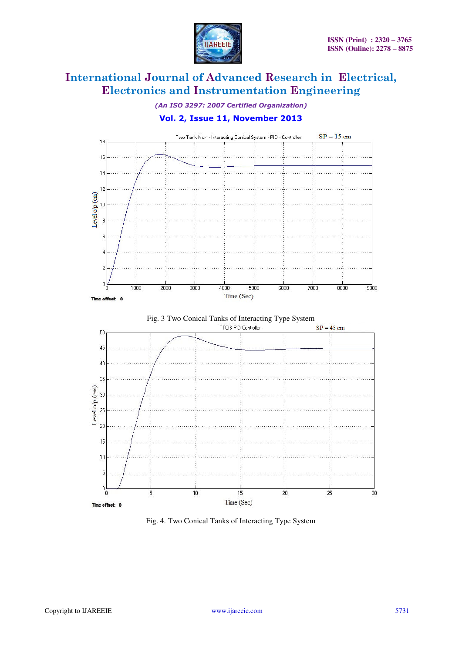

*(An ISO 3297: 2007 Certified Organization)* 

### **Vol. 2, Issue 11, November 2013**







Fig. 4. Two Conical Tanks of Interacting Type System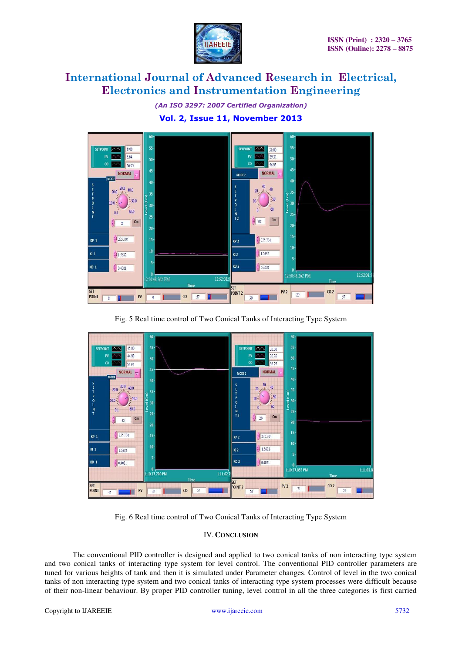

*(An ISO 3297: 2007 Certified Organization)* 

### **Vol. 2, Issue 11, November 2013**



Fig. 5 Real time control of Two Conical Tanks of Interacting Type System



Fig. 6 Real time control of Two Conical Tanks of Interacting Type System

#### IV.**CONCLUSION**

The conventional PID controller is designed and applied to two conical tanks of non interacting type system and two conical tanks of interacting type system for level control. The conventional PID controller parameters are tuned for various heights of tank and then it is simulated under Parameter changes. Control of level in the two conical tanks of non interacting type system and two conical tanks of interacting type system processes were difficult because of their non-linear behaviour. By proper PID controller tuning, level control in all the three categories is first carried